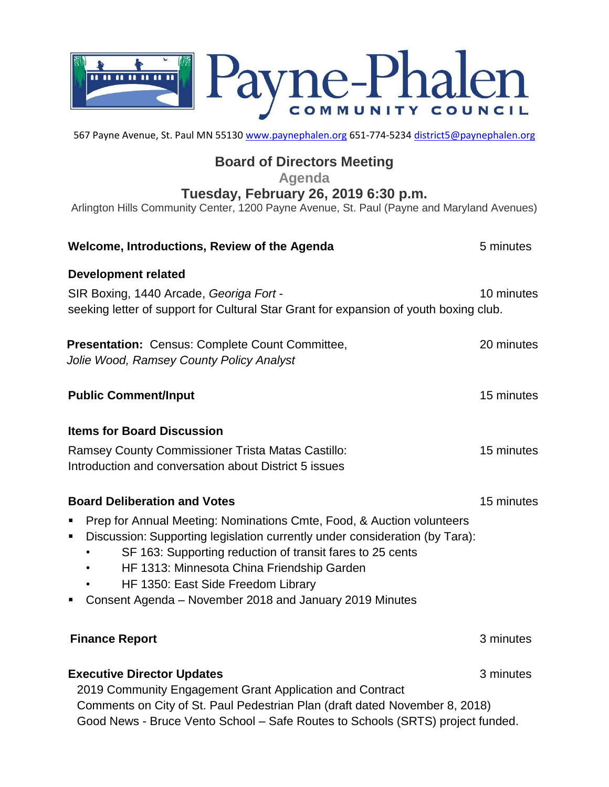

567 Payne Avenue, St. Paul MN 55130 [www.paynephalen.org](http://www.paynephalen.org/) 651-774-5234 [district5@paynephalen.org](mailto:district5@paynephalen.org)

## **Board of Directors Meeting**

**Agenda**

**Tuesday, February 26, 2019 6:30 p.m.**

Arlington Hills Community Center, 1200 Payne Avenue, St. Paul (Payne and Maryland Avenues)

| Welcome, Introductions, Review of the Agenda                                                                                                                                                                                                                                                                                                                          | 5 minutes  |
|-----------------------------------------------------------------------------------------------------------------------------------------------------------------------------------------------------------------------------------------------------------------------------------------------------------------------------------------------------------------------|------------|
| <b>Development related</b><br>SIR Boxing, 1440 Arcade, Georiga Fort -<br>seeking letter of support for Cultural Star Grant for expansion of youth boxing club.                                                                                                                                                                                                        | 10 minutes |
| Presentation: Census: Complete Count Committee,<br>Jolie Wood, Ramsey County Policy Analyst                                                                                                                                                                                                                                                                           | 20 minutes |
| <b>Public Comment/Input</b>                                                                                                                                                                                                                                                                                                                                           | 15 minutes |
| <b>Items for Board Discussion</b>                                                                                                                                                                                                                                                                                                                                     |            |
| Ramsey County Commissioner Trista Matas Castillo:<br>Introduction and conversation about District 5 issues                                                                                                                                                                                                                                                            | 15 minutes |
| <b>Board Deliberation and Votes</b>                                                                                                                                                                                                                                                                                                                                   | 15 minutes |
| Prep for Annual Meeting: Nominations Cmte, Food, & Auction volunteers<br>Discussion: Supporting legislation currently under consideration (by Tara):<br>SF 163: Supporting reduction of transit fares to 25 cents<br>HF 1313: Minnesota China Friendship Garden<br>HF 1350: East Side Freedom Library<br>Consent Agenda - November 2018 and January 2019 Minutes<br>п |            |
| <b>Finance Report</b>                                                                                                                                                                                                                                                                                                                                                 | 3 minutes  |
| <b>Executive Director Updates</b><br>2019 Community Engagement Grant Application and Contract<br>Comments on City of St. Paul Pedestrian Plan (draft dated November 8, 2018)                                                                                                                                                                                          | 3 minutes  |
| Good News - Bruce Vento School - Safe Routes to Schools (SRTS) project funded.                                                                                                                                                                                                                                                                                        |            |